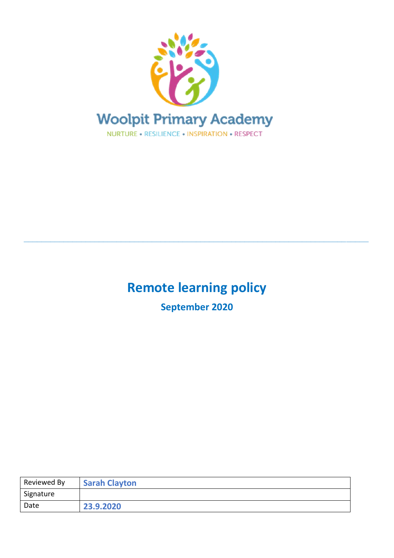

# **Remote learning policy**

**\_\_\_\_\_\_\_\_\_\_\_\_\_\_\_\_\_\_\_\_\_\_\_\_\_\_\_\_\_\_\_\_\_\_\_\_\_\_\_\_\_\_\_\_\_\_\_\_\_\_\_\_\_\_\_\_\_\_\_\_\_\_\_\_\_\_\_\_\_\_\_\_\_\_\_\_\_\_**

**September 2020**

| <b>Reviewed By</b> | <b>Sarah Clayton</b> |
|--------------------|----------------------|
| Signature          |                      |
| Date               | 23.9.2020            |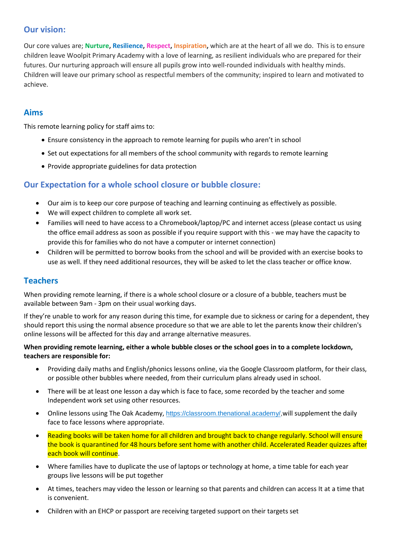## **Our vision:**

Our core values are; **Nurture, Resilience, Respect, Inspiration,** which are at the heart of all we do. This is to ensure children leave Woolpit Primary Academy with a love of learning, as resilient individuals who are prepared for their futures. Our nurturing approach will ensure all pupils grow into well-rounded individuals with healthy minds. Children will leave our primary school as respectful members of the community; inspired to learn and motivated to achieve.

### **Aims**

This remote learning policy for staff aims to:

- Ensure consistency in the approach to remote learning for pupils who aren't in school
- Set out expectations for all members of the school community with regards to remote learning
- Provide appropriate guidelines for data protection

#### **Our Expectation for a whole school closure or bubble closure:**

- Our aim is to keep our core purpose of teaching and learning continuing as effectively as possible.
- We will expect children to complete all work set.
- Families will need to have access to a Chromebook/laptop/PC and internet access (please contact us using the office email address as soon as possible if you require support with this - we may have the capacity to provide this for families who do not have a computer or internet connection)
- Children will be permitted to borrow books from the school and will be provided with an exercise books to use as well. If they need additional resources, they will be asked to let the class teacher or office know.

#### **Teachers**

When providing remote learning, if there is a whole school closure or a closure of a bubble, teachers must be available between 9am - 3pm on their usual working days.

If they're unable to work for any reason during this time, for example due to sickness or caring for a dependent, they should report this using the normal absence procedure so that we are able to let the parents know their children's online lessons will be affected for this day and arrange alternative measures.

#### **When providing remote learning, either a whole bubble closes or the school goes in to a complete lockdown, teachers are responsible for:**

- Providing daily maths and English/phonics lessons online, via the Google Classroom platform, for their class, or possible other bubbles where needed, from their curriculum plans already used in school.
- There will be at least one lesson a day which is face to face, some recorded by the teacher and some Independent work set using other resources.
- Online lessons using The Oak Academy, [https://classroom.thenational.academy/,](https://classroom.thenational.academy/)will supplement the daily face to face lessons where appropriate.
- Reading books will be taken home for all children and brought back to change regularly. School will ensure the book is quarantined for 48 hours before sent home with another child. Accelerated Reader quizzes after each book will continue.
- Where families have to duplicate the use of laptops or technology at home, a time table for each year groups live lessons will be put together
- At times, teachers may video the lesson or learning so that parents and children can access It at a time that is convenient.
- Children with an EHCP or passport are receiving targeted support on their targets set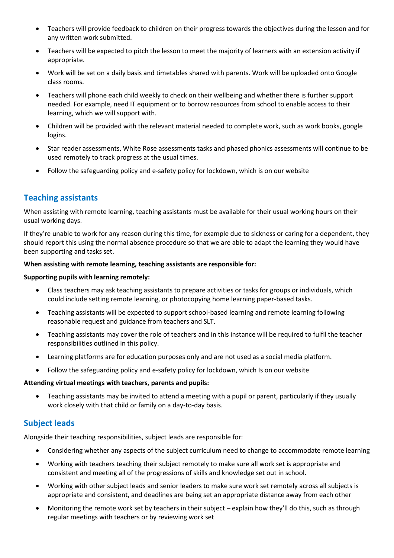- Teachers will provide feedback to children on their progress towards the objectives during the lesson and for any written work submitted.
- Teachers will be expected to pitch the lesson to meet the majority of learners with an extension activity if appropriate.
- Work will be set on a daily basis and timetables shared with parents. Work will be uploaded onto Google class rooms.
- Teachers will phone each child weekly to check on their wellbeing and whether there is further support needed. For example, need IT equipment or to borrow resources from school to enable access to their learning, which we will support with.
- Children will be provided with the relevant material needed to complete work, such as work books, google logins.
- Star reader assessments, White Rose assessments tasks and phased phonics assessments will continue to be used remotely to track progress at the usual times.
- Follow the safeguarding policy and e-safety policy for lockdown, which is on our website

#### **Teaching assistants**

When assisting with remote learning, teaching assistants must be available for their usual working hours on their usual working days.

If they're unable to work for any reason during this time, for example due to sickness or caring for a dependent, they should report this using the normal absence procedure so that we are able to adapt the learning they would have been supporting and tasks set.

#### **When assisting with remote learning, teaching assistants are responsible for:**

#### **Supporting pupils with learning remotely:**

- Class teachers may ask teaching assistants to prepare activities or tasks for groups or individuals, which could include setting remote learning, or photocopying home learning paper-based tasks.
- Teaching assistants will be expected to support school-based learning and remote learning following reasonable request and guidance from teachers and SLT.
- Teaching assistants may cover the role of teachers and in this instance will be required to fulfil the teacher responsibilities outlined in this policy.
- Learning platforms are for education purposes only and are not used as a social media platform.
- Follow the safeguarding policy and e-safety policy for lockdown, which Is on our website

#### **Attending virtual meetings with teachers, parents and pupils:**

• Teaching assistants may be invited to attend a meeting with a pupil or parent, particularly if they usually work closely with that child or family on a day-to-day basis.

## **Subject leads**

Alongside their teaching responsibilities, subject leads are responsible for:

- Considering whether any aspects of the subject curriculum need to change to accommodate remote learning
- Working with teachers teaching their subject remotely to make sure all work set is appropriate and consistent and meeting all of the progressions of skills and knowledge set out in school.
- Working with other subject leads and senior leaders to make sure work set remotely across all subjects is appropriate and consistent, and deadlines are being set an appropriate distance away from each other
- Monitoring the remote work set by teachers in their subject explain how they'll do this, such as through regular meetings with teachers or by reviewing work set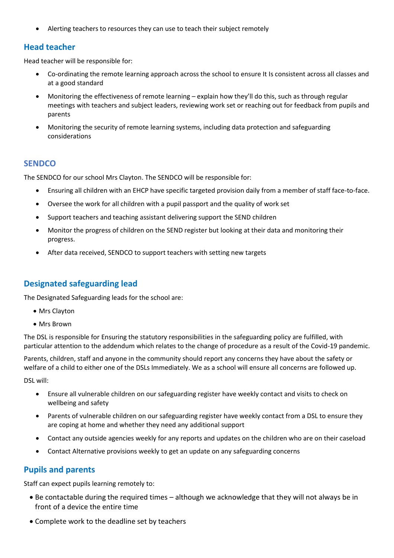• Alerting teachers to resources they can use to teach their subject remotely

#### **Head teacher**

Head teacher will be responsible for:

- Co-ordinating the remote learning approach across the school to ensure It Is consistent across all classes and at a good standard
- Monitoring the effectiveness of remote learning explain how they'll do this, such as through regular meetings with teachers and subject leaders, reviewing work set or reaching out for feedback from pupils and parents
- Monitoring the security of remote learning systems, including data protection and safeguarding considerations

#### **SENDCO**

The SENDCO for our school Mrs Clayton. The SENDCO will be responsible for:

- Ensuring all children with an EHCP have specific targeted provision daily from a member of staff face-to-face.
- Oversee the work for all children with a pupil passport and the quality of work set
- Support teachers and teaching assistant delivering support the SEND children
- Monitor the progress of children on the SEND register but looking at their data and monitoring their progress.
- After data received, SENDCO to support teachers with setting new targets

## **Designated safeguarding lead**

The Designated Safeguarding leads for the school are:

- Mrs Clayton
- Mrs Brown

The DSL is responsible for Ensuring the statutory responsibilities in the safeguarding policy are fulfilled, with particular attention to the addendum which relates to the change of procedure as a result of the Covid-19 pandemic.

Parents, children, staff and anyone in the community should report any concerns they have about the safety or welfare of a child to either one of the DSLs Immediately. We as a school will ensure all concerns are followed up.

DSL will:

- Ensure all vulnerable children on our safeguarding register have weekly contact and visits to check on wellbeing and safety
- Parents of vulnerable children on our safeguarding register have weekly contact from a DSL to ensure they are coping at home and whether they need any additional support
- Contact any outside agencies weekly for any reports and updates on the children who are on their caseload
- Contact Alternative provisions weekly to get an update on any safeguarding concerns

#### **Pupils and parents**

Staff can expect pupils learning remotely to:

- Be contactable during the required times although we acknowledge that they will not always be in front of a device the entire time
- Complete work to the deadline set by teachers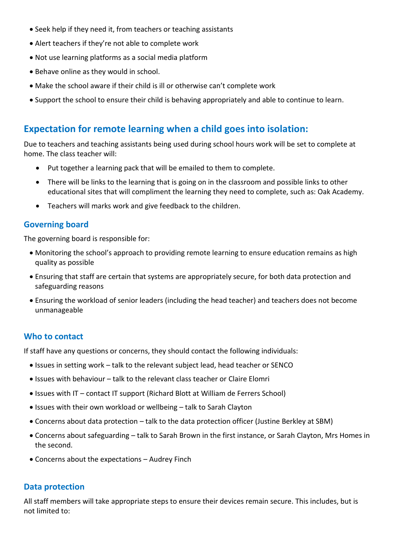- Seek help if they need it, from teachers or teaching assistants
- Alert teachers if they're not able to complete work
- Not use learning platforms as a social media platform
- Behave online as they would in school.
- Make the school aware if their child is ill or otherwise can't complete work
- Support the school to ensure their child is behaving appropriately and able to continue to learn.

## **Expectation for remote learning when a child goes into isolation:**

Due to teachers and teaching assistants being used during school hours work will be set to complete at home. The class teacher will:

- Put together a learning pack that will be emailed to them to complete.
- There will be links to the learning that is going on in the classroom and possible links to other educational sites that will compliment the learning they need to complete, such as: Oak Academy.
- Teachers will marks work and give feedback to the children.

#### **Governing board**

The governing board is responsible for:

- Monitoring the school's approach to providing remote learning to ensure education remains as high quality as possible
- Ensuring that staff are certain that systems are appropriately secure, for both data protection and safeguarding reasons
- Ensuring the workload of senior leaders (including the head teacher) and teachers does not become unmanageable

#### **Who to contact**

If staff have any questions or concerns, they should contact the following individuals:

- Issues in setting work talk to the relevant subject lead, head teacher or SENCO
- Issues with behaviour talk to the relevant class teacher or Claire Elomri
- Issues with IT contact IT support (Richard Blott at William de Ferrers School)
- Issues with their own workload or wellbeing talk to Sarah Clayton
- Concerns about data protection talk to the data protection officer (Justine Berkley at SBM)
- Concerns about safeguarding talk to Sarah Brown in the first instance, or Sarah Clayton, Mrs Homes in the second.
- Concerns about the expectations Audrey Finch

#### **Data protection**

All staff members will take appropriate steps to ensure their devices remain secure. This includes, but is not limited to: